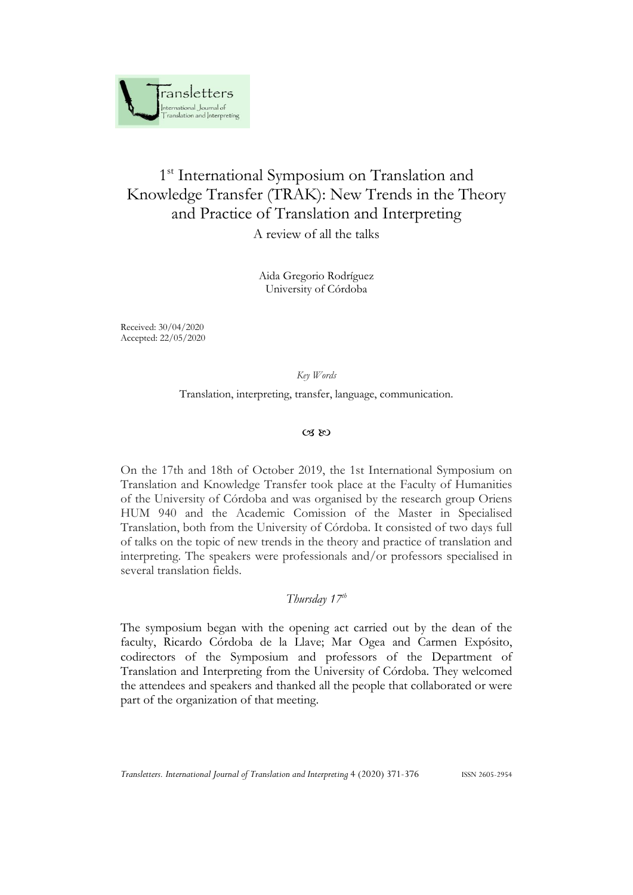

# 1<sup>st</sup> International Symposium on Translation and Knowledge Transfer (TRAK): New Trends in the Theory and Practice of Translation and Interpreting

A review of all the talks

Aida Gregorio Rodríguez University of Córdoba

Received: 30/04/2020 Accepted: 22/05/2020

## *Key Words*

Translation, interpreting, transfer, language, communication.

#### $\alpha$   $\omega$

On the 17th and 18th of October 2019, the 1st International Symposium on Translation and Knowledge Transfer took place at the Faculty of Humanities of the University of Córdoba and was organised by the research group Oriens HUM 940 and the Academic Comission of the Master in Specialised Translation, both from the University of Córdoba. It consisted of two days full of talks on the topic of new trends in the theory and practice of translation and interpreting. The speakers were professionals and/or professors specialised in several translation fields.

# *Thursday 17th*

The symposium began with the opening act carried out by the dean of the faculty, Ricardo Córdoba de la Llave; Mar Ogea and Carmen Expósito, codirectors of the Symposium and professors of the Department of Translation and Interpreting from the University of Córdoba. They welcomed the attendees and speakers and thanked all the people that collaborated or were part of the organization of that meeting.

*Transletters. International Journal of Translation and Interpreting* 4 (2020) 371-376 ISSN 2605-2954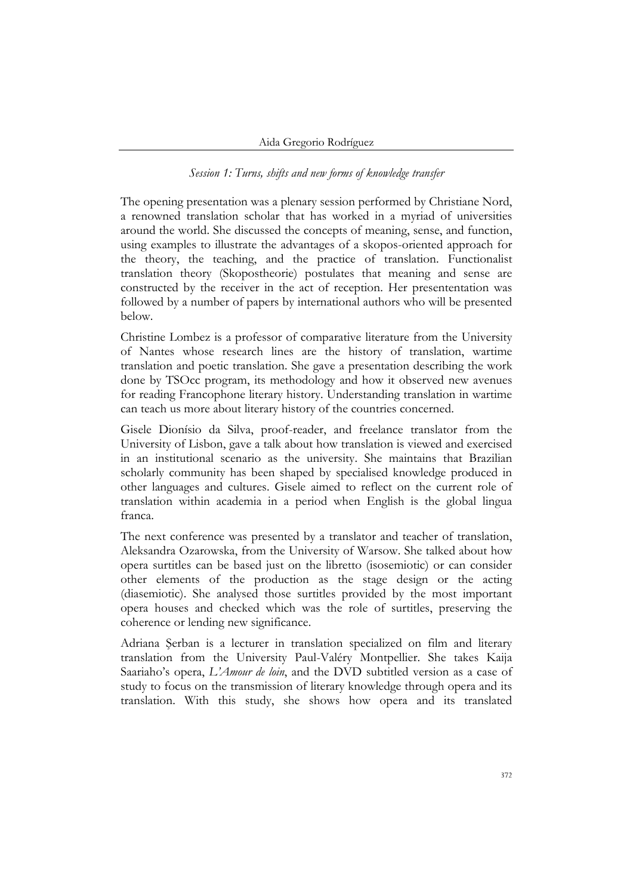*Session 1: Turns, shifts and new forms of knowledge transfer*

The opening presentation was a plenary session performed by Christiane Nord, a renowned translation scholar that has worked in a myriad of universities around the world. She discussed the concepts of meaning, sense, and function, using examples to illustrate the advantages of a skopos-oriented approach for the theory, the teaching, and the practice of translation. Functionalist translation theory (Skopostheorie) postulates that meaning and sense are constructed by the receiver in the act of reception. Her presententation was followed by a number of papers by international authors who will be presented below.

Christine Lombez is a professor of comparative literature from the University of Nantes whose research lines are the history of translation, wartime translation and poetic translation. She gave a presentation describing the work done by TSOcc program, its methodology and how it observed new avenues for reading Francophone literary history. Understanding translation in wartime can teach us more about literary history of the countries concerned.

Gisele Dionísio da Silva, proof-reader, and freelance translator from the University of Lisbon, gave a talk about how translation is viewed and exercised in an institutional scenario as the university. She maintains that Brazilian scholarly community has been shaped by specialised knowledge produced in other languages and cultures. Gisele aimed to reflect on the current role of translation within academia in a period when English is the global lingua franca.

The next conference was presented by a translator and teacher of translation, Aleksandra Ozarowska, from the University of Warsow. She talked about how opera surtitles can be based just on the libretto (isosemiotic) or can consider other elements of the production as the stage design or the acting (diasemiotic). She analysed those surtitles provided by the most important opera houses and checked which was the role of surtitles, preserving the coherence or lending new significance.

Adriana Şerban is a lecturer in translation specialized on film and literary translation from the University Paul-Valéry Montpellier. She takes Kaija Saariaho's opera, *L'Amour de loin*, and the DVD subtitled version as a case of study to focus on the transmission of literary knowledge through opera and its translation. With this study, she shows how opera and its translated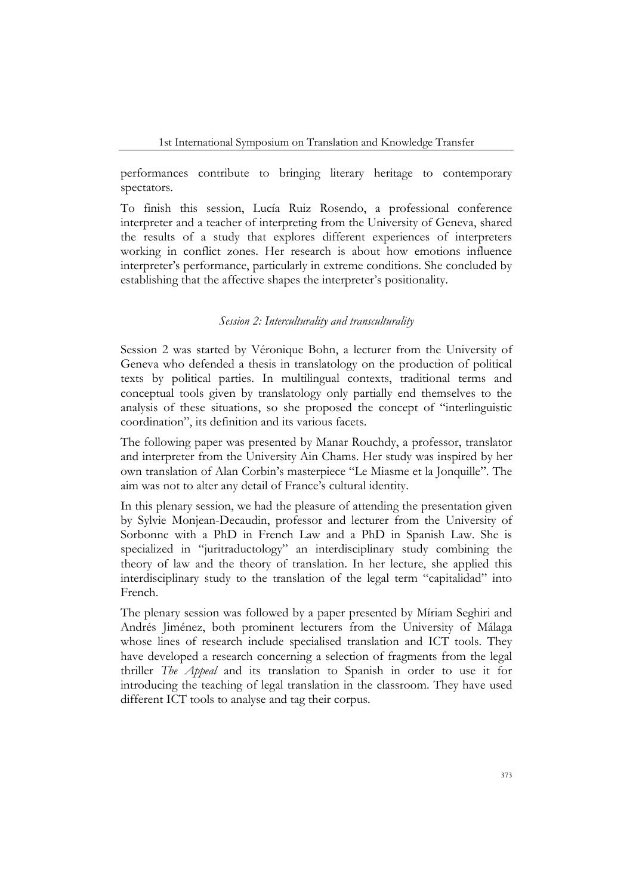performances contribute to bringing literary heritage to contemporary spectators.

To finish this session, Lucía Ruiz Rosendo, a professional conference interpreter and a teacher of interpreting from the University of Geneva, shared the results of a study that explores different experiences of interpreters working in conflict zones. Her research is about how emotions influence interpreter's performance, particularly in extreme conditions. She concluded by establishing that the affective shapes the interpreter's positionality.

#### *Session 2: Interculturality and transculturality*

Session 2 was started by Véronique Bohn, a lecturer from the University of Geneva who defended a thesis in translatology on the production of political texts by political parties. In multilingual contexts, traditional terms and conceptual tools given by translatology only partially end themselves to the analysis of these situations, so she proposed the concept of "interlinguistic coordination", its definition and its various facets.

The following paper was presented by Manar Rouchdy, a professor, translator and interpreter from the University Ain Chams. Her study was inspired by her own translation of Alan Corbin's masterpiece "Le Miasme et la Jonquille". The aim was not to alter any detail of France's cultural identity.

In this plenary session, we had the pleasure of attending the presentation given by Sylvie Monjean-Decaudin, professor and lecturer from the University of Sorbonne with a PhD in French Law and a PhD in Spanish Law. She is specialized in "juritraductology" an interdisciplinary study combining the theory of law and the theory of translation. In her lecture, she applied this interdisciplinary study to the translation of the legal term "capitalidad" into French.

The plenary session was followed by a paper presented by Míriam Seghiri and Andrés Jiménez, both prominent lecturers from the University of Málaga whose lines of research include specialised translation and ICT tools. They have developed a research concerning a selection of fragments from the legal thriller *The Appeal* and its translation to Spanish in order to use it for introducing the teaching of legal translation in the classroom. They have used different ICT tools to analyse and tag their corpus.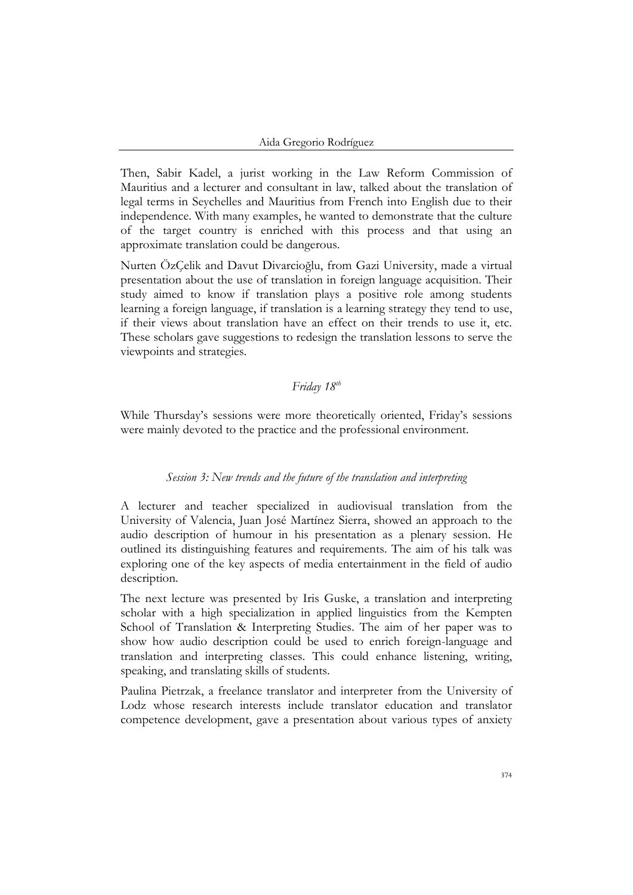Then, Sabir Kadel, a jurist working in the Law Reform Commission of Mauritius and a lecturer and consultant in law, talked about the translation of legal terms in Seychelles and Mauritius from French into English due to their independence. With many examples, he wanted to demonstrate that the culture of the target country is enriched with this process and that using an approximate translation could be dangerous.

Nurten ÖzÇelik and Davut Divarcioğlu, from Gazi University, made a virtual presentation about the use of translation in foreign language acquisition. Their study aimed to know if translation plays a positive role among students learning a foreign language, if translation is a learning strategy they tend to use, if their views about translation have an effect on their trends to use it, etc. These scholars gave suggestions to redesign the translation lessons to serve the viewpoints and strategies.

# *Friday 18th*

While Thursday's sessions were more theoretically oriented, Friday's sessions were mainly devoted to the practice and the professional environment.

## *Session 3: New trends and the future of the translation and interpreting*

A lecturer and teacher specialized in audiovisual translation from the University of Valencia, Juan José Martínez Sierra, showed an approach to the audio description of humour in his presentation as a plenary session. He outlined its distinguishing features and requirements. The aim of his talk was exploring one of the key aspects of media entertainment in the field of audio description.

The next lecture was presented by Iris Guske, a translation and interpreting scholar with a high specialization in applied linguistics from the Kempten School of Translation & Interpreting Studies. The aim of her paper was to show how audio description could be used to enrich foreign-language and translation and interpreting classes. This could enhance listening, writing, speaking, and translating skills of students.

Paulina Pietrzak, a freelance translator and interpreter from the University of Lodz whose research interests include translator education and translator competence development, gave a presentation about various types of anxiety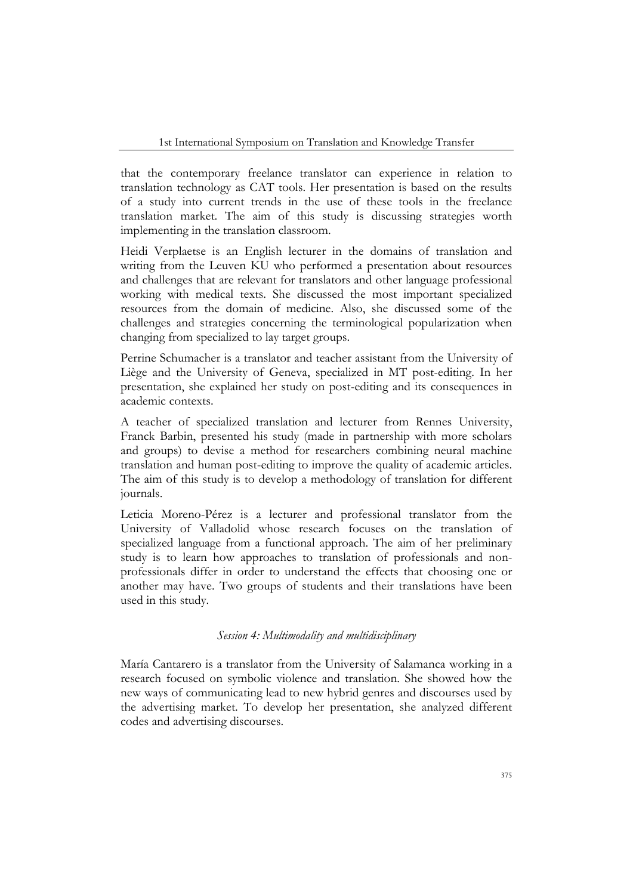that the contemporary freelance translator can experience in relation to translation technology as CAT tools. Her presentation is based on the results of a study into current trends in the use of these tools in the freelance translation market. The aim of this study is discussing strategies worth implementing in the translation classroom.

Heidi Verplaetse is an English lecturer in the domains of translation and writing from the Leuven KU who performed a presentation about resources and challenges that are relevant for translators and other language professional working with medical texts. She discussed the most important specialized resources from the domain of medicine. Also, she discussed some of the challenges and strategies concerning the terminological popularization when changing from specialized to lay target groups.

Perrine Schumacher is a translator and teacher assistant from the University of Liège and the University of Geneva, specialized in MT post-editing. In her presentation, she explained her study on post-editing and its consequences in academic contexts.

A teacher of specialized translation and lecturer from Rennes University, Franck Barbin, presented his study (made in partnership with more scholars and groups) to devise a method for researchers combining neural machine translation and human post-editing to improve the quality of academic articles. The aim of this study is to develop a methodology of translation for different journals.

Leticia Moreno-Pérez is a lecturer and professional translator from the University of Valladolid whose research focuses on the translation of specialized language from a functional approach. The aim of her preliminary study is to learn how approaches to translation of professionals and nonprofessionals differ in order to understand the effects that choosing one or another may have. Two groups of students and their translations have been used in this study.

## *Session 4: Multimodality and multidisciplinary*

María Cantarero is a translator from the University of Salamanca working in a research focused on symbolic violence and translation. She showed how the new ways of communicating lead to new hybrid genres and discourses used by the advertising market. To develop her presentation, she analyzed different codes and advertising discourses.